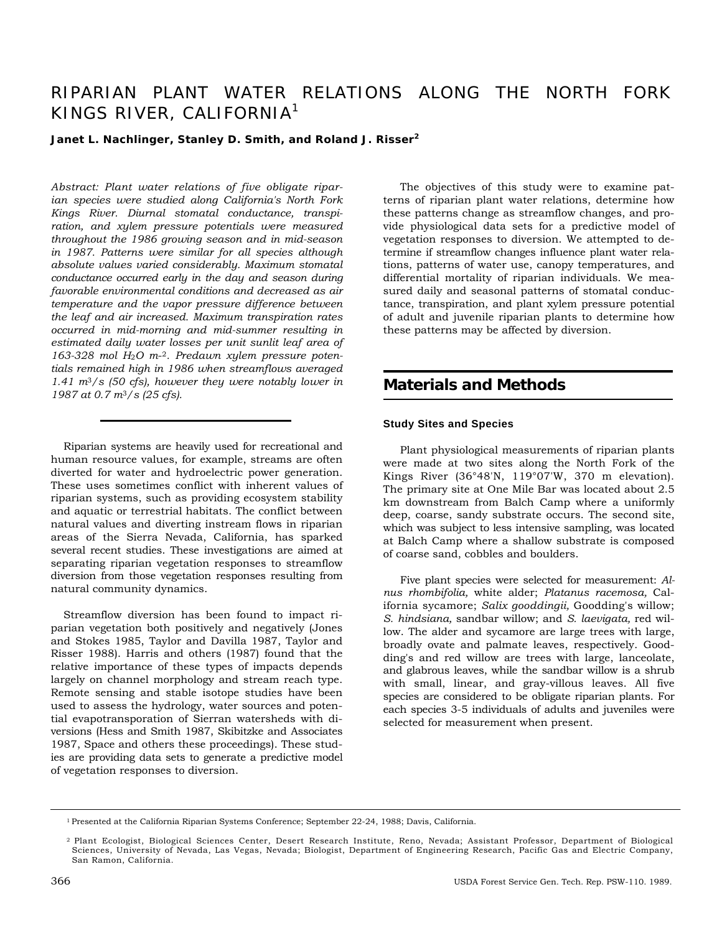# RIPARIAN PLANT WATER RELATIONS ALONG THE NORTH FORK KINGS RIVER, CALIFORNIA<sup>1</sup>

### **Janet L. Nachlinger, Stanley D. Smith, and Roland J. Risser<sup>2</sup>**

*Abstract: Plant water relations of five obligate riparian species were studied along California's North Fork Kings River. Diurnal stomatal conductance, transpiration, and xylem pressure potentials were measured throughout the 1986 growing season and in mid-season in 1987. Patterns were similar for all species although absolute values varied considerably. Maximum stomatal conductance occurred early in the day and season during favorable environmental conditions and decreased as air temperature and the vapor pressure difference between the leaf and air increased. Maximum transpiration rates occurred in mid-morning and mid-summer resulting in estimated daily water losses per unit sunlit leaf area of 163-328 mol H*2*O m*-2*. Predawn xylem pressure potentials remained high in 1986 when streamflows averaged 1.41 m*3*/s (50 cfs), however they were notably lower in 1987 at 0.7 m*3*/s (25 cfs).* 

Riparian systems are heavily used for recreational and human resource values, for example, streams are often diverted for water and hydroelectric power generation. These uses sometimes conflict with inherent values of riparian systems, such as providing ecosystem stability and aquatic or terrestrial habitats. The conflict between natural values and diverting instream flows in riparian areas of the Sierra Nevada, California, has sparked several recent studies. These investigations are aimed at separating riparian vegetation responses to streamflow diversion from those vegetation responses resulting from natural community dynamics.

Streamflow diversion has been found to impact riparian vegetation both positively and negatively (Jones and Stokes 1985, Taylor and Davilla 1987, Taylor and Risser 1988). Harris and others (1987) found that the relative importance of these types of impacts depends largely on channel morphology and stream reach type. Remote sensing and stable isotope studies have been used to assess the hydrology, water sources and potential evapotransporation of Sierran watersheds with diversions (Hess and Smith 1987, Skibitzke and Associates 1987, Space and others these proceedings). These studies are providing data sets to generate a predictive model of vegetation responses to diversion.

The objectives of this study were to examine patterns of riparian plant water relations, determine how these patterns change as streamflow changes, and provide physiological data sets for a predictive model of vegetation responses to diversion. We attempted to determine if streamflow changes influence plant water relations, patterns of water use, canopy temperatures, and differential mortality of riparian individuals. We measured daily and seasonal patterns of stomatal conductance, transpiration, and plant xylem pressure potential of adult and juvenile riparian plants to determine how these patterns may be affected by diversion.

## **Materials and Methods**

### **Study Sites and Species**

Plant physiological measurements of riparian plants were made at two sites along the North Fork of the Kings River (36°48'N, 119°07'W, 370 m elevation). The primary site at One Mile Bar was located about 2.5 km downstream from Balch Camp where a uniformly deep, coarse, sandy substrate occurs. The second site, which was subject to less intensive sampling, was located at Balch Camp where a shallow substrate is composed of coarse sand, cobbles and boulders.

Five plant species were selected for measurement: *Alnus rhombifolia,* white alder; *Platanus racemosa,* California sycamore; *Salix gooddingii,* Goodding's willow; *S. hindsiana,* sandbar willow; and *S. laevigata,* red willow. The alder and sycamore are large trees with large, broadly ovate and palmate leaves, respectively. Goodding's and red willow are trees with large, lanceolate, and glabrous leaves, while the sandbar willow is a shrub with small, linear, and gray-villous leaves. All five species are considered to be obligate riparian plants. For each species 3-5 individuals of adults and juveniles were selected for measurement when present.

<sup>1</sup> Presented at the California Riparian Systems Conference; September 22-24, 1988; Davis, California.

<sup>2</sup> Plant Ecologist, Biological Sciences Center, Desert Research Institute, Reno, Nevada; Assistant Professor, Department of Biological Sciences, University of Nevada, Las Vegas, Nevada; Biologist, Department of Engineering Research, Pacific Gas and Electric Company, San Ramon, California.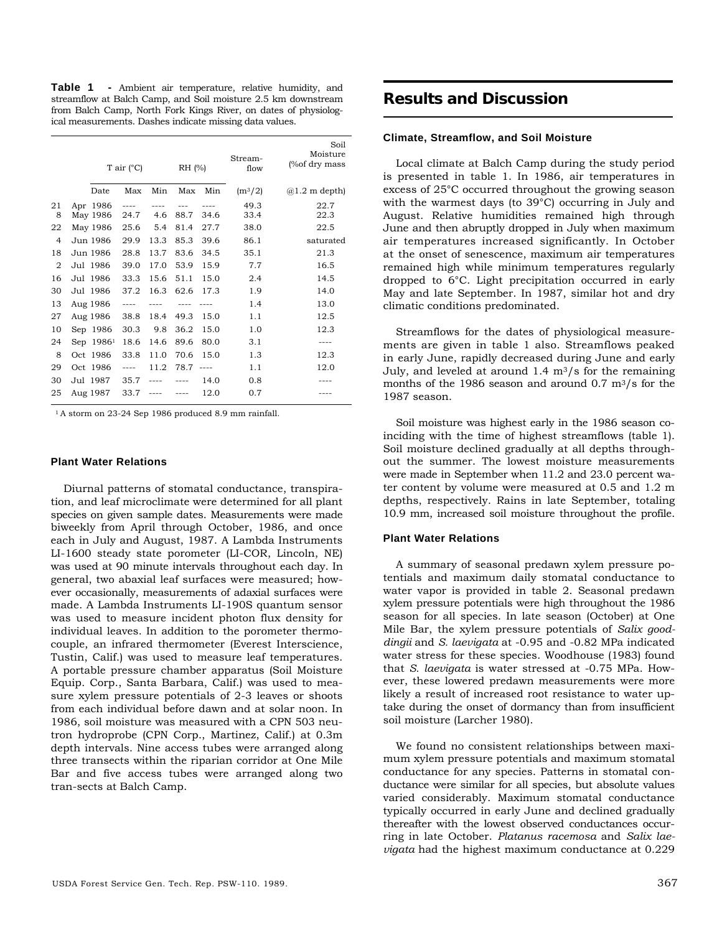**Table 1 -** Ambient air temperature, relative humidity, and streamflow at Balch Camp, and Soil moisture 2.5 km downstream from Balch Camp, North Fork Kings River, on dates of physiological measurements. Dashes indicate missing data values.

|                |                       | T air $(^{\circ}C)$ |      |      | RH (%) | Stream-<br>flow | Soil<br>Moisture<br>(%of dry mass |
|----------------|-----------------------|---------------------|------|------|--------|-----------------|-----------------------------------|
|                | Date                  | Max                 | Min  | Max  | Min    | $(m^{3}/2)$     | $(a)1.2$ m depth)                 |
| 21<br>8        | Apr 1986<br>May 1986  | $---$<br>24.7       | 4.6  | 88.7 | 34.6   | 49.3<br>33.4    | 22.7<br>22.3                      |
| 22             | May 1986              | 25.6                | 5.4  | 81.4 | 27.7   | 38.0            | 22.5                              |
| $\overline{4}$ | Jun 1986              | 29.9                | 13.3 | 85.3 | 39.6   | 86.1            | saturated                         |
| 18             | Jun 1986              | 28.8                | 13.7 | 83.6 | 34.5   | 35.1            | 21.3                              |
| $\overline{2}$ | Jul 1986              | 39.0                | 17.0 | 53.9 | 15.9   | 7.7             | 16.5                              |
| 16             | Jul 1986              | 33.3                | 15.6 | 51.1 | 15.0   | 2.4             | 14.5                              |
| 30             | Jul 1986              | 37.2                | 16.3 | 62.6 | 17.3   | 1.9             | 14.0                              |
| 13             | Aug 1986              | $--- -$             |      |      |        | 1.4             | 13.0                              |
| 27             | Aug 1986              | 38.8                | 18.4 | 49.3 | 15.0   | 1.1             | 12.5                              |
| 10             | Sep 1986              | 30.3                | 9.8  | 36.2 | 15.0   | 1.0             | 12.3                              |
| 24             | Sep 1986 <sup>1</sup> | 18.6                | 14.6 | 89.6 | 80.0   | 3.1             | $- - - -$                         |
| 8              | Oct 1986              | 33.8                | 11.0 | 70.6 | 15.0   | 1.3             | 12.3                              |
| 29             | Oct 1986              | $---$               | 11.2 | 78.7 | $---$  | 1.1             | 12.0                              |
| 30             | Jul 1987              | 35.7                |      |      | 14.0   | 0.8             |                                   |
| 25             | Aug 1987              | 33.7                |      |      | 12.0   | 0.7             |                                   |

<sup>1</sup> A storm on 23-24 Sep 1986 produced 8.9 mm rainfall.

#### **Plant Water Relations**

Diurnal patterns of stomatal conductance, transpiration, and leaf microclimate were determined for all plant species on given sample dates. Measurements were made biweekly from April through October, 1986, and once each in July and August, 1987. A Lambda Instruments LI-1600 steady state porometer (LI-COR, Lincoln, NE) was used at 90 minute intervals throughout each day. In general, two abaxial leaf surfaces were measured; however occasionally, measurements of adaxial surfaces were made. A Lambda Instruments LI-190S quantum sensor was used to measure incident photon flux density for individual leaves. In addition to the porometer thermocouple, an infrared thermometer (Everest Interscience, Tustin, Calif.) was used to measure leaf temperatures. A portable pressure chamber apparatus (Soil Moisture Equip. Corp., Santa Barbara, Calif.) was used to measure xylem pressure potentials of 2-3 leaves or shoots from each individual before dawn and at solar noon. In 1986, soil moisture was measured with a CPN 503 neutron hydroprobe (CPN Corp., Martinez, Calif.) at 0.3m depth intervals. Nine access tubes were arranged along three transects within the riparian corridor at One Mile Bar and five access tubes were arranged along two tran-sects at Balch Camp.

## **Results and Discussion**

### **Climate, Streamflow, and Soil Moisture**

Local climate at Balch Camp during the study period is presented in table 1. In 1986, air temperatures in excess of 25°C occurred throughout the growing season with the warmest days (to 39°C) occurring in July and August. Relative humidities remained high through June and then abruptly dropped in July when maximum air temperatures increased significantly. In October at the onset of senescence, maximum air temperatures remained high while minimum temperatures regularly dropped to 6°C. Light precipitation occurred in early May and late September. In 1987, similar hot and dry climatic conditions predominated.

Streamflows for the dates of physiological measurements are given in table 1 also. Streamflows peaked in early June, rapidly decreased during June and early July, and leveled at around 1.4  $\text{m}^3/\text{s}$  for the remaining months of the 1986 season and around 0.7 m3/s for the 1987 season.

Soil moisture was highest early in the 1986 season coinciding with the time of highest streamflows (table 1). Soil moisture declined gradually at all depths throughout the summer. The lowest moisture measurements were made in September when 11.2 and 23.0 percent water content by volume were measured at 0.5 and 1.2 m depths, respectively. Rains in late September, totaling 10.9 mm, increased soil moisture throughout the profile.

### **Plant Water Relations**

A summary of seasonal predawn xylem pressure potentials and maximum daily stomatal conductance to water vapor is provided in table 2. Seasonal predawn xylem pressure potentials were high throughout the 1986 season for all species. In late season (October) at One Mile Bar, the xylem pressure potentials of *Salix gooddingii* and *S. laevigata* at -0.95 and -0.82 MPa indicated water stress for these species. Woodhouse (1983) found that *S. laevigata* is water stressed at -0.75 MPa. However, these lowered predawn measurements were more likely a result of increased root resistance to water uptake during the onset of dormancy than from insufficient soil moisture (Larcher 1980).

We found no consistent relationships between maximum xylem pressure potentials and maximum stomatal conductance for any species. Patterns in stomatal conductance were similar for all species, but absolute values varied considerably. Maximum stomatal conductance typically occurred in early June and declined gradually thereafter with the lowest observed conductances occurring in late October. *Platanus racemosa* and *Salix laevigata* had the highest maximum conductance at 0.229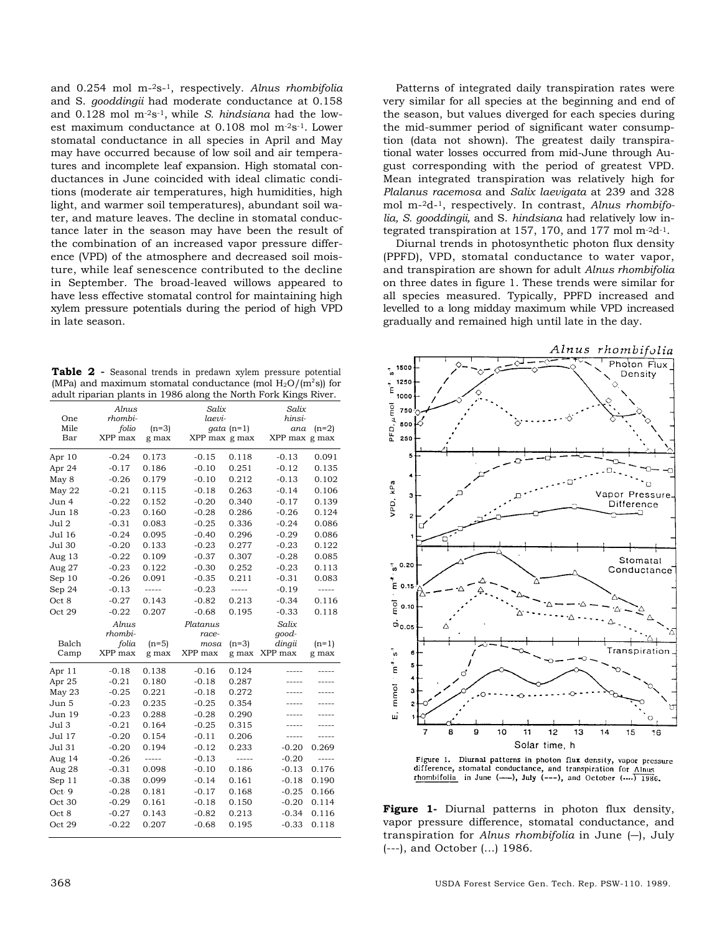and 0.254 mol m-2s-1, respectively. *Alnus rhombifolia*  and S. *gooddingii* had moderate conductance at 0.158 and 0.128 mol m-2s-1, while *S. hindsiana* had the lowest maximum conductance at 0.108 mol m-2s-1. Lower stomatal conductance in all species in April and May may have occurred because of low soil and air temperatures and incomplete leaf expansion. High stomatal conductances in June coincided with ideal climatic conditions (moderate air temperatures, high humidities, high light, and warmer soil temperatures), abundant soil water, and mature leaves. The decline in stomatal conductance later in the season may have been the result of the combination of an increased vapor pressure difference (VPD) of the atmosphere and decreased soil moisture, while leaf senescence contributed to the decline in September. The broad-leaved willows appeared to have less effective stomatal control for maintaining high xylem pressure potentials during the period of high VPD in late season.

**Table 2 -** Seasonal trends in predawn xylem pressure potential (MPa) and maximum stomatal conductance (mol  $H_2O/(m^2s)$ ) for adult riparian plants in 1986 along the North Fork Kings River.

|        | Alnus   |         | Salix         |              | Salix         |             |
|--------|---------|---------|---------------|--------------|---------------|-------------|
| One    | rhombi- |         | laevi-        |              | hinsi-        |             |
| Mile   | folio   | $(n=3)$ |               | $gata$ (n=1) | ana           | $(n=2)$     |
| Bar    | XPP max | g max   | XPP max g max |              | XPP max g max |             |
| Apr 10 | $-0.24$ | 0.173   | $-0.15$       | 0.118        | $-0.13$       | 0.091       |
| Apr 24 | $-0.17$ | 0.186   | $-0.10$       | 0.251        | $-0.12$       | 0.135       |
| May 8  | $-0.26$ | 0.179   | $-0.10$       | 0.212        | $-0.13$       | 0.102       |
| May 22 | $-0.21$ | 0.115   | $-0.18$       | 0.263        | $-0.14$       | 0.106       |
| Jun 4  | $-0.22$ | 0.152   | $-0.20$       | 0.340        | $-0.17$       | 0.139       |
| Jun 18 | $-0.23$ | 0.160   | $-0.28$       | 0.286        | $-0.26$       | 0.124       |
| Jul 2  | $-0.31$ | 0.083   | $-0.25$       | 0.336        | $-0.24$       | 0.086       |
| Jul 16 | $-0.24$ | 0.095   | $-0.40$       | 0.296        | $-0.29$       | 0.086       |
| Jul 30 | $-0.20$ | 0.133   | $-0.23$       | 0.277        | $-0.23$       | 0.122       |
| Aug 13 | $-0.22$ | 0.109   | $-0.37$       | 0.307        | $-0.28$       | 0.085       |
| Aug 27 | $-0.23$ | 0.122   | $-0.30$       | 0.252        | $-0.23$       | 0.113       |
| Sep 10 | $-0.26$ | 0.091   | $-0.35$       | 0.211        | $-0.31$       | 0.083       |
| Sep 24 | $-0.13$ | -----   | $-0.23$       | -----        | $-0.19$       | $--- -$     |
| Oct 8  | $-0.27$ | 0.143   | $-0.82$       | 0.213        | $-0.34$       | 0.116       |
| Oct 29 | $-0.22$ | 0.207   | $-0.68$       | 0.195        | $-0.33$       | 0.118       |
|        | Alnus   |         | Platanus      |              | Salix         |             |
|        | rhombi- |         | race-         |              | qood-         |             |
| Balch  | folia   | $(n=5)$ | mosa          | $(n=3)$      | dingii        | $(n=1)$     |
| Camp   | XPP max | g max   | XPP max       | g max        | XPP max       | g max       |
| Apr 11 | $-0.18$ | 0.138   | $-0.16$       | 0.124        |               |             |
| Apr 25 | $-0.21$ | 0.180   | $-0.18$       | 0.287        |               |             |
| May 23 | $-0.25$ | 0.221   | $-0.18$       | 0.272        |               | -----       |
| Jun 5  | $-0.23$ | 0.235   | $-0.25$       | 0.354        |               |             |
| Jun 19 | $-0.23$ | 0.288   | $-0.28$       | 0.290        |               |             |
| Jul 3  | $-0.21$ | 0.164   | $-0.25$       | 0.315        | -----         |             |
| Jul 17 | $-0.20$ | 0.154   | $-0.11$       | 0.206        | -----         | -----       |
| Jul 31 | $-0.20$ | 0.194   | $-0.12$       | 0.233        | $-0.20$       | 0.269       |
| Aug 14 | $-0.26$ | $---$   | $-0.13$       | $- - - - -$  | $-0.20$       | $- - - - -$ |
| Aug 28 | $-0.31$ | 0.098   | $-0.10$       | 0.186        | $-0.13$       | 0.176       |
| Sep 11 | $-0.38$ | 0.099   | $-0.14$       | 0.161        | $-0.18$       | 0.190       |
| Oct 9  | $-0.28$ | 0.181   | $-0.17$       | 0.168        | $-0.25$       | 0.166       |
| Oct 30 | $-0.29$ | 0.161   | $-0.18$       | 0.150        | $-0.20$       | 0.114       |
| Oct 8  | $-0.27$ | 0.143   | $-0.82$       | 0.213        | $-0.34$       | 0.116       |
|        |         |         |               |              |               |             |
| Oct 29 | $-0.22$ | 0.207   | $-0.68$       | 0.195        | $-0.33$       | 0.118       |

Patterns of integrated daily transpiration rates were very similar for all species at the beginning and end of the season, but values diverged for each species during the mid-summer period of significant water consumption (data not shown). The greatest daily transpirational water losses occurred from mid-June through August corresponding with the period of greatest VPD. Mean integrated transpiration was relatively high for *Plalanus racemosa* and *Salix laevigata* at 239 and 328 mol m-2d-1, respectively. In contrast, *Alnus rhombifolia, S. gooddingii,* and S. *hindsiana* had relatively low integrated transpiration at 157, 170, and 177 mol m-2d-1.

Diurnal trends in photosynthetic photon flux density (PPFD), VPD, stomatal conductance to water vapor, and transpiration are shown for adult *Alnus rhombifolia*  on three dates in figure 1. These trends were similar for all species measured. Typically, PPFD increased and levelled to a long midday maximum while VPD increased gradually and remained high until late in the day.



Figure 1. Diurnal patterns in photon flux density, vapor pressure difference, stomatal conductance, and transpiration for Alnus rhombifolia in June (--), July (---), and October (....) 1986.

**Figure 1-** Diurnal patterns in photon flux density, vapor pressure difference, stomatal conductance, and transpiration for *Alnus rhombifolia* in June (―), July (---), and October (...) 1986.